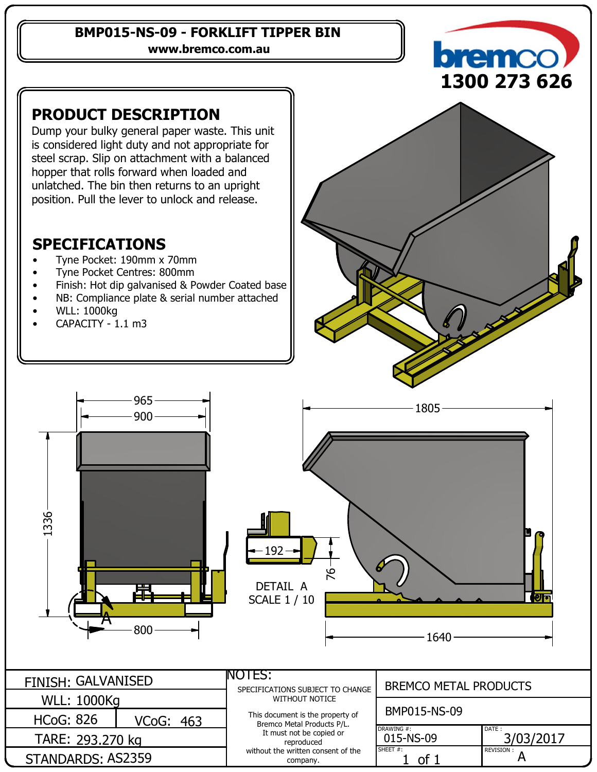#### **BMP015-NS-09 - FORKLIFT TIPPER BIN**

**www.bremco.com.au**

### **PRODUCT DESCRIPTION**

Dump your bulky general paper waste. This unit is considered light duty and not appropriate for steel scrap. Slip on attachment with a balanced hopper that rolls forward when loaded and unlatched. The bin then returns to an upright position. Pull the lever to unlock and release.

## **SPECIFICATIONS**

- Tyne Pocket: 190mm x 70mm
- Tyne Pocket Centres: 800mm
- Finish: Hot dip galvanised & Powder Coated base
- NB: Compliance plate & serial number attached
- WLL: 1000kg
- CAPACITY 1.1 m3



**remo** 

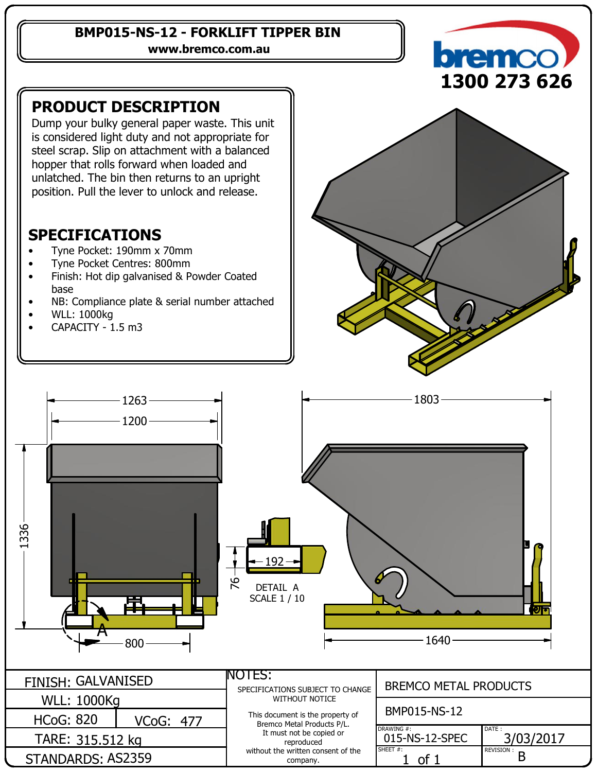#### **BMP015-NS-12 - FORKLIFT TIPPER BIN**

**www.bremco.com.au**

## **PRODUCT DESCRIPTION**

Dump your bulky general paper waste. This unit is considered light duty and not appropriate for steel scrap. Slip on attachment with a balanced hopper that rolls forward when loaded and unlatched. The bin then returns to an upright position. Pull the lever to unlock and release.

### **SPECIFICATIONS**

- Tyne Pocket: 190mm x 70mm
- Tyne Pocket Centres: 800mm
- Finish: Hot dip galvanised & Powder Coated base
- NB: Compliance plate & serial number attached
- WLL: 1000kg
- CAPACITY 1.5 m3





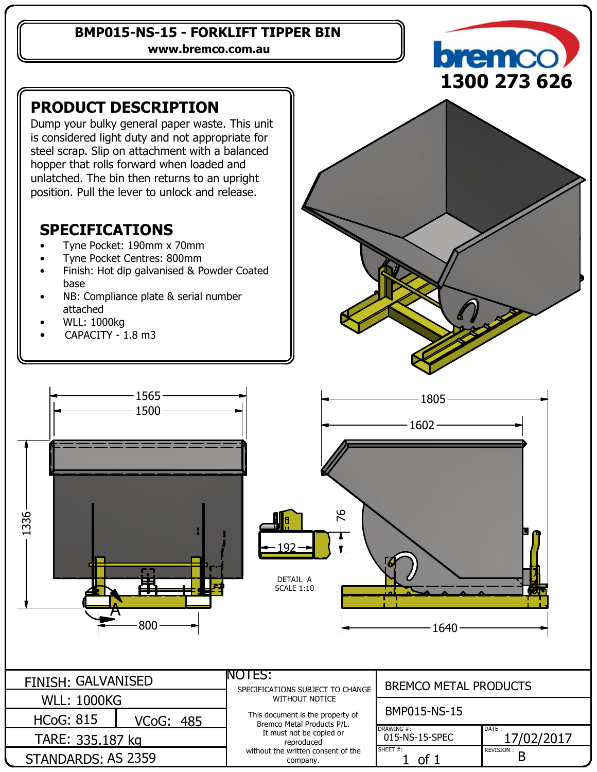#### **BMP015-NS-15 - FORKLIFT TIPPER BIN**

**www.bremco.com.au**

## **PRODUCT DESCRIPTION**

Dump your bulky general paper waste. This unit is considered light duty and not appropriate for steel scrap. Slip on attachment with a balanced hopper that rolls forward when loaded and unlatched. The bin then returns to an upright position. Pull the lever to unlock and release.

### **SPECIFICATIONS**

- Tyne Pocket: 190mm x 70mm
- Tyne Pocket Centres: 800mm
- Finish: Hot dip galvanised & Powder Coated base
- NB: Compliance plate & serial number attached
- WLL: 1000kg
- CAPACITY 1.8 m3